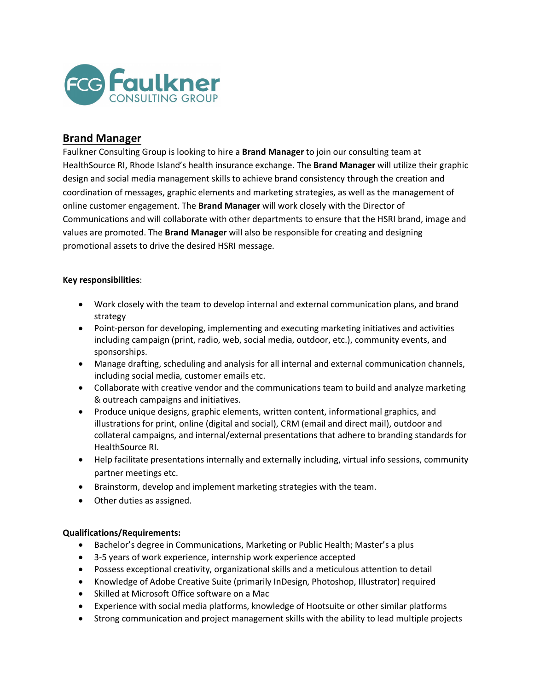

# **Brand Manager**

Faulkner Consulting Group is looking to hire a **Brand Manager** to join our consulting team at HealthSource RI, Rhode Island's health insurance exchange. The **Brand Manager** will utilize their graphic design and social media management skills to achieve brand consistency through the creation and coordination of messages, graphic elements and marketing strategies, as well as the management of online customer engagement. The **Brand Manager** will work closely with the Director of Communications and will collaborate with other departments to ensure that the HSRI brand, image and values are promoted. The **Brand Manager** will also be responsible for creating and designing promotional assets to drive the desired HSRI message.

# **Key responsibilities**:

- Work closely with the team to develop internal and external communication plans, and brand strategy
- Point-person for developing, implementing and executing marketing initiatives and activities including campaign (print, radio, web, social media, outdoor, etc.), community events, and sponsorships.
- Manage drafting, scheduling and analysis for all internal and external communication channels, including social media, customer emails etc.
- Collaborate with creative vendor and the communications team to build and analyze marketing & outreach campaigns and initiatives.
- Produce unique designs, graphic elements, written content, informational graphics, and illustrations for print, online (digital and social), CRM (email and direct mail), outdoor and collateral campaigns, and internal/external presentations that adhere to branding standards for HealthSource RI.
- Help facilitate presentations internally and externally including, virtual info sessions, community partner meetings etc.
- Brainstorm, develop and implement marketing strategies with the team.
- Other duties as assigned.

# **Qualifications/Requirements:**

- Bachelor's degree in Communications, Marketing or Public Health; Master's a plus
- 3-5 years of work experience, internship work experience accepted
- Possess exceptional creativity, organizational skills and a meticulous attention to detail
- Knowledge of Adobe Creative Suite (primarily InDesign, Photoshop, Illustrator) required
- Skilled at Microsoft Office software on a Mac
- Experience with social media platforms, knowledge of Hootsuite or other similar platforms
- Strong communication and project management skills with the ability to lead multiple projects